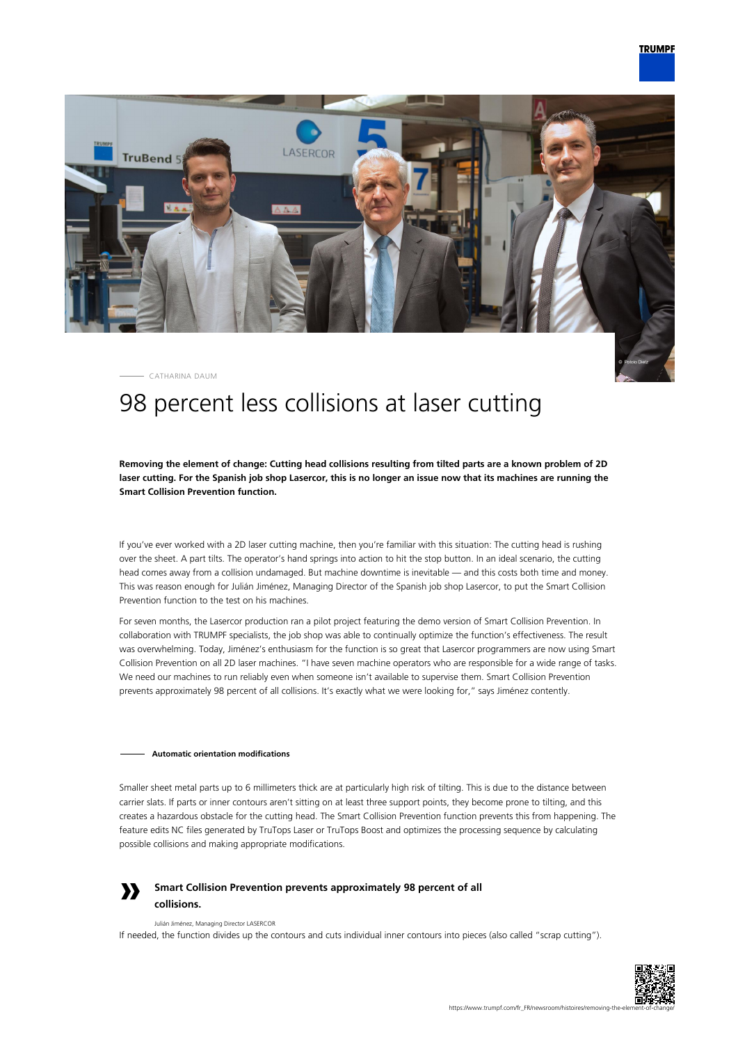

CATHARINA DAUM

# 98 percent less collisions at laser cutting

## **Removing the element of change: Cutting head collisions resulting from tilted parts are a known problem of 2D laser cutting. For the Spanish job shop Lasercor, this is no longer an issue now that its machines are running the Smart Collision Prevention function.**

If you've ever worked with a 2D laser cutting machine, then you're familiar with this situation: The cutting head is rushing over the sheet. A part tilts. The operator's hand springs into action to hit the stop button. In an ideal scenario, the cutting head comes away from a collision undamaged. But machine downtime is inevitable — and this costs both time and money. This was reason enough for Julián Jiménez, Managing Director of the Spanish job shop Lasercor, to put the Smart Collision Prevention function to the test on his machines.

For seven months, the Lasercor production ran a pilot project featuring the demo version of Smart Collision Prevention. In collaboration with TRUMPF specialists, the job shop was able to continually optimize the function's effectiveness. The result was overwhelming. Today, Jiménez's enthusiasm for the function is so great that Lasercor programmers are now using Smart Collision Prevention on all 2D laser machines. "I have seven machine operators who are responsible for a wide range of tasks. We need our machines to run reliably even when someone isn't available to supervise them. Smart Collision Prevention prevents approximately 98 percent of all collisions. It's exactly what we were looking for," says Jiménez contently.

### **Automatic orientation modifications**

Smaller sheet metal parts up to 6 millimeters thick are at particularly high risk of tilting. This is due to the distance between carrier slats. If parts or inner contours aren't sitting on at least three support points, they become prone to tilting, and this creates a hazardous obstacle for the cutting head. The Smart Collision Prevention function prevents this from happening. The feature edits NC files generated by TruTops Laser or TruTops Boost and optimizes the processing sequence by calculating possible collisions and making appropriate modifications.



# **Smart Collision Prevention prevents approximately 98 percent of all collisions.**

#### Julián Jiménez, Managing Director LASERCOR

If needed, the function divides up the contours and cuts individual inner contours into pieces (also called "scrap cutting").

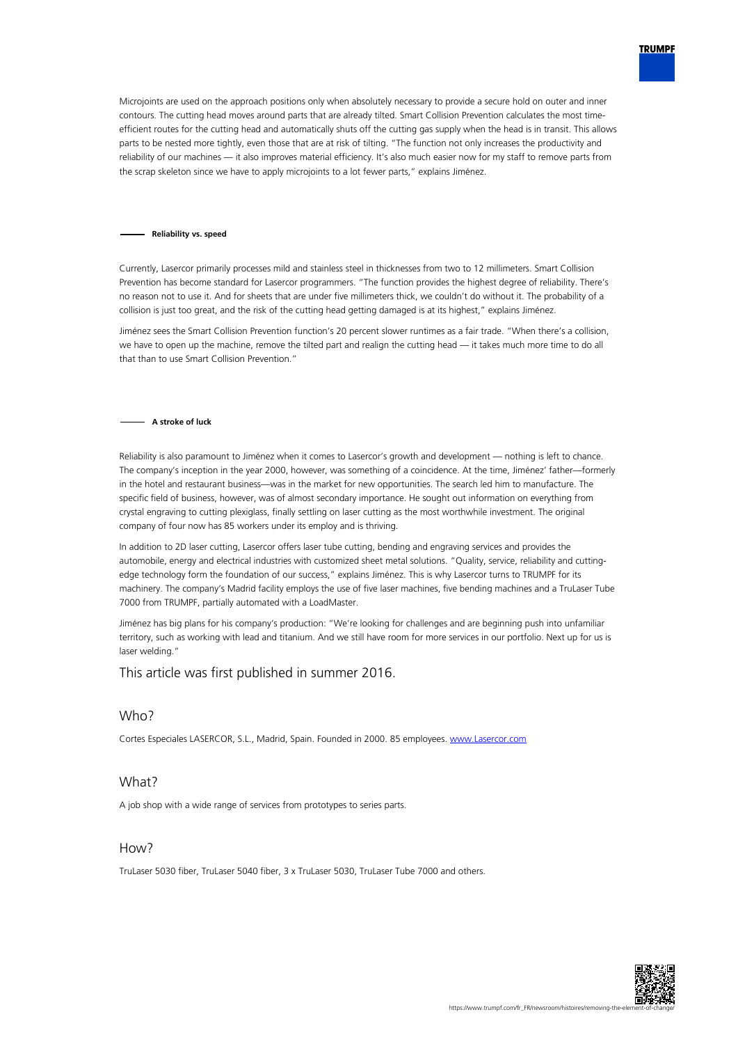

Microjoints are used on the approach positions only when absolutely necessary to provide a secure hold on outer and inner contours. The cutting head moves around parts that are already tilted. Smart Collision Prevention calculates the most timeefficient routes for the cutting head and automatically shuts off the cutting gas supply when the head is in transit. This allows parts to be nested more tightly, even those that are at risk of tilting. "The function not only increases the productivity and reliability of our machines — it also improves material efficiency. It's also much easier now for my staff to remove parts from the scrap skeleton since we have to apply microjoints to a lot fewer parts," explains Jiménez.

#### **Reliability vs. speed**

Currently, Lasercor primarily processes mild and stainless steel in thicknesses from two to 12 millimeters. Smart Collision Prevention has become standard for Lasercor programmers. "The function provides the highest degree of reliability. There's no reason not to use it. And for sheets that are under five millimeters thick, we couldn't do without it. The probability of a collision is just too great, and the risk of the cutting head getting damaged is at its highest," explains Jiménez.

Jiménez sees the Smart Collision Prevention function's 20 percent slower runtimes as a fair trade. "When there's a collision, we have to open up the machine, remove the tilted part and realign the cutting head — it takes much more time to do all that than to use Smart Collision Prevention."

#### **A stroke of luck**

Reliability is also paramount to Jiménez when it comes to Lasercor's growth and development — nothing is left to chance. The company's inception in the year 2000, however, was something of a coincidence. At the time, Jiménez' father—formerly in the hotel and restaurant business—was in the market for new opportunities. The search led him to manufacture. The specific field of business, however, was of almost secondary importance. He sought out information on everything from crystal engraving to cutting plexiglass, finally settling on laser cutting as the most worthwhile investment. The original company of four now has 85 workers under its employ and is thriving.

In addition to 2D laser cutting, Lasercor offers laser tube cutting, bending and engraving services and provides the automobile, energy and electrical industries with customized sheet metal solutions. "Quality, service, reliability and cuttingedge technology form the foundation of our success," explains Jiménez. This is why Lasercor turns to TRUMPF for its machinery. The company's Madrid facility employs the use of five laser machines, five bending machines and a TruLaser Tube 7000 from TRUMPF, partially automated with a LoadMaster.

Jiménez has big plans for his company's production: "We're looking for challenges and are beginning push into unfamiliar territory, such as working with lead and titanium. And we still have room for more services in our portfolio. Next up for us is laser welding."

# This article was first published in summer 2016.

# Who?

Cortes Especiales LASERCOR, S.L., Madrid, Spain. Founded in 2000. 85 employees. [www.Lasercor.com](http://www.Lasercor.com)

# What?

A job shop with a wide range of services from prototypes to series parts.

# How?

TruLaser 5030 fiber, TruLaser 5040 fiber, 3 x TruLaser 5030, TruLaser Tube 7000 and others.